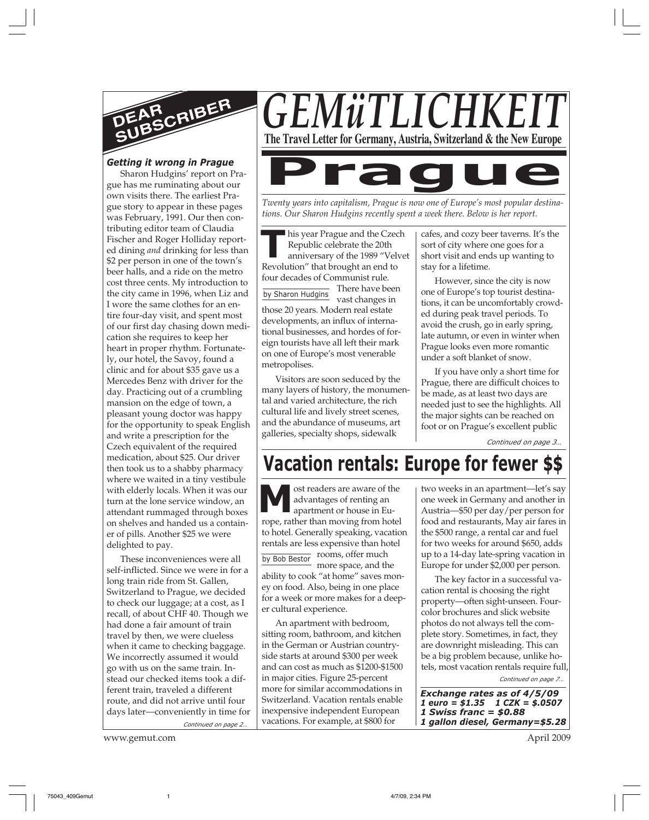

### *Getting it wrong in Prague*

Sharon Hudgins' report on Prague has me ruminating about our own visits there. The earliest Prague story to appear in these pages was February, 1991. Our then contributing editor team of Claudia Fischer and Roger Holliday reported dining *and* drinking for less than \$2 per person in one of the town's beer halls, and a ride on the metro cost three cents. My introduction to the city came in 1996, when Liz and I wore the same clothes for an entire four-day visit, and spent most of our first day chasing down medication she requires to keep her heart in proper rhythm. Fortunately, our hotel, the Savoy, found a clinic and for about \$35 gave us a Mercedes Benz with driver for the day. Practicing out of a crumbling mansion on the edge of town, a pleasant young doctor was happy for the opportunity to speak English and write a prescription for the Czech equivalent of the required medication, about \$25. Our driver then took us to a shabby pharmacy where we waited in a tiny vestibule with elderly locals. When it was our turn at the lone service window, an attendant rummaged through boxes on shelves and handed us a container of pills. Another \$25 we were delighted to pay.

*Continued on page 2…* These inconveniences were all self-inflicted. Since we were in for a long train ride from St. Gallen, Switzerland to Prague, we decided to check our luggage; at a cost, as I recall, of about CHF 40. Though we had done a fair amount of train travel by then, we were clueless when it came to checking baggage. We incorrectly assumed it would go with us on the same train. Instead our checked items took a different train, traveled a different route, and did not arrive until four days later—conveniently in time for

www.gemut.com April 2009



*Twenty years into capitalism, Prague is now one of Europe's most popular destina-*

*tions. Our Sharon Hudgins recently spent a week there. Below is her report.*

**The Strape and the Czec Republic celebrate the 20th anniversary of the 1989 "Vel Revolution" that brought an end to** his year Prague and the Czech Republic celebrate the 20th anniversary of the 1989 "Velvet four decades of Communist rule.

by Sharon Hudgins There have been vast changes in those 20 years. Modern real estate developments, an influx of international businesses, and hordes of foreign tourists have all left their mark on one of Europe's most venerable metropolises.

Visitors are soon seduced by the many layers of history, the monumental and varied architecture, the rich cultural life and lively street scenes, and the abundance of museums, art galleries, specialty shops, sidewalk

cafes, and cozy beer taverns. It's the sort of city where one goes for a short visit and ends up wanting to stay for a lifetime.

However, since the city is now one of Europe's top tourist destinations, it can be uncomfortably crowded during peak travel periods. To avoid the crush, go in early spring, late autumn, or even in winter when Prague looks even more romantic under a soft blanket of snow.

If you have only a short time for Prague, there are difficult choices to be made, as at least two days are needed just to see the highlights. All the major sights can be reached on foot or on Prague's excellent public

*Continued on page 3…*

# **Vacation rentals: Europe for fewer**

**M** ost readers are aware of the advantages of renting an apartment or house in Europe, rather than moving from hotel to hotel. Generally speaking, vacation rentals are less expensive than hotel rooms, offer much by Bob Bestor Toomb, one much ability to cook "at home" saves money on food. Also, being in one place for a week or more makes for a deeper cultural experience.

An apartment with bedroom, sitting room, bathroom, and kitchen in the German or Austrian countryside starts at around \$300 per week and can cost as much as \$1200-\$1500 in major cities. Figure 25-percent more for similar accommodations in Switzerland. Vacation rentals enable inexpensive independent European vacations. For example, at \$800 for

two weeks in an apartment—let's say one week in Germany and another in Austria—\$50 per day/per person for food and restaurants, May air fares in the \$500 range, a rental car and fuel for two weeks for around \$650, adds up to a 14-day late-spring vacation in Europe for under \$2,000 per person.

The key factor in a successful vacation rental is choosing the right property—often sight-unseen. Fourcolor brochures and slick website photos do not always tell the complete story. Sometimes, in fact, they are downright misleading. This can be a big problem because, unlike hotels, most vacation rentals require full,

*Continued on page 7…*

*Exchange rates as of 4/5/09 1 euro = \$1.35 1 CZK = \$.0507 1 Swiss franc = \$0.88 1 gallon diesel, Germany=\$5.28*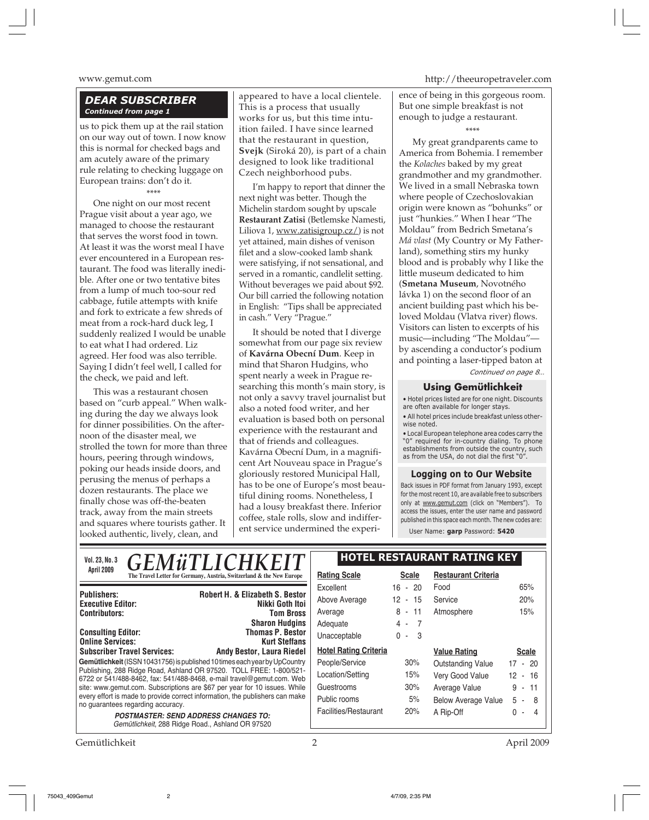#### *DEAR SUBSCRIBER Continued from page 1*

us to pick them up at the rail station on our way out of town. I now know this is normal for checked bags and am acutely aware of the primary rule relating to checking luggage on European trains: don't do it.

#### \*\*\*\*

One night on our most recent Prague visit about a year ago, we managed to choose the restaurant that serves the worst food in town. At least it was the worst meal I have ever encountered in a European restaurant. The food was literally inedible. After one or two tentative bites from a lump of much too-sour red cabbage, futile attempts with knife and fork to extricate a few shreds of meat from a rock-hard duck leg, I suddenly realized I would be unable to eat what I had ordered. Liz agreed. Her food was also terrible. Saying I didn't feel well, I called for the check, we paid and left.

This was a restaurant chosen based on "curb appeal." When walking during the day we always look for dinner possibilities. On the afternoon of the disaster meal, we strolled the town for more than three hours, peering through windows, poking our heads inside doors, and perusing the menus of perhaps a dozen restaurants. The place we finally chose was off-the-beaten track, away from the main streets and squares where tourists gather. It looked authentic, lively, clean, and

appeared to have a local clientele. This is a process that usually works for us, but this time intuition failed. I have since learned that the restaurant in question, **Svejk** (Siroká 20), is part of a chain designed to look like traditional Czech neighborhood pubs.

I'm happy to report that dinner the next night was better. Though the Michelin stardom sought by upscale **Restaurant Zatisi** (Betlemske Namesti, Liliova 1, www.zatisigroup.cz/) is not yet attained, main dishes of venison filet and a slow-cooked lamb shank were satisfying, if not sensational, and served in a romantic, candlelit setting. Without beverages we paid about \$92. Our bill carried the following notation in English: "Tips shall be appreciated in cash." Very "Prague."

It should be noted that I diverge somewhat from our page six review of **Kavárna Obecní Dum**. Keep in mind that Sharon Hudgins, who spent nearly a week in Prague researching this month's main story, is not only a savvy travel journalist but also a noted food writer, and her evaluation is based both on personal experience with the restaurant and that of friends and colleagues. Kavárna Obecní Dum, in a magnificent Art Nouveau space in Prague's gloriously restored Municipal Hall, has to be one of Europe's most beautiful dining rooms. Nonetheless, I had a lousy breakfast there. Inferior coffee, stale rolls, slow and indifferent service undermined the experi-

www.gemut.com http://theeuropetraveler.com

ence of being in this gorgeous room. But one simple breakfast is not enough to judge a restaurant.

\*\*\*\*

My great grandparents came to America from Bohemia. I remember the *Kolaches* baked by my great grandmother and my grandmother. We lived in a small Nebraska town where people of Czechoslovakian origin were known as "bohunks" or just "hunkies." When I hear "The Moldau" from Bedrich Smetana's *Má vlast* (My Country or My Fatherland), something stirs my hunky blood and is probably why I like the little museum dedicated to him (**Smetana Museum**, Novotného lávka 1) on the second floor of an ancient building past which his beloved Moldau (Vlatva river) flows. Visitors can listen to excerpts of his music—including "The Moldau" by ascending a conductor's podium and pointing a laser-tipped baton at *Continued on page 8…*

#### **Using Gemütlichkeit**

• Hotel prices listed are for one night. Discounts are often available for longer stays. • All hotel prices include breakfast unless other-

wise noted.

• Local European telephone area codes carry the "0" required for in-country dialing. To phone establishments from outside the country, such as from the USA, do not dial the first "0".

#### **Logging on to Our Website**

Back issues in PDF format from January 1993, except for the most recent 10, are available free to subscribers only at www.gemut.com (click on "Members"). To access the issues, enter the user name and password published in this space each month. The new codes are: User Name: **garp** Password: **5420**

**Gemütlichkeit** (ISSN 10431756) is published 10 times each year by UpCountry Publishing, 288 Ridge Road, Ashland OR 97520. TOLL FREE: 1-800/521- 6722 or 541/488-8462, fax: 541/488-8468, e-mail travel@gemut.com. Web site: www.gemut.com. Subscriptions are \$67 per year for 10 issues. While every effort is made to provide correct information, the publishers can make no guarantees regarding accuracy. **POSTMASTER: SEND ADDRESS CHANGES TO:** Gemütlichkeit, 288 Ridge Road., Ashland OR 97520 **Publishers:** Robert H. & Elizabeth S. Bestor **Publishers: Robert H. & Elizabeth S. Bestor Executive Editor:** Nikki Goth Itoi **Contributors: Doug Linton, C. Fischer, R. Holliday, J. Fischer, R. Holliday, J. Holliday, J. Holliday, J. Holliday, J. Holliday, J. Holliday, J. Holliday, J. Holliday, J. Holliday, J. Holliday, J. Holliday, J. Holliday, Masseum Masseum T. Merschlands** Sharon Hudgins **Consulting Editor:** Thomas P. Bestor **Online Services:** Kurt Steffans **Subscriber Travel Services:** Andy Bestor, Laura Riedel **Subscriber Travel Services: Andy Bestor, Laura Riedel** Vol. 23, No. 3 **GEMÜTLICHKEIT** HOTEL RESTAURANT RATING KEY April 2009<br> **The Travel Letter for Germany, Austria, Switzerland & the New Europe Rating Scale** Scale Excellent 16 - 20 Above Average 12 - 15 Average 8 - 11 Adequate 4 - 7 Unacceptable 0 - 3 **Hotel Rating Criteria** People/Service 30% Location/Setting 15% Guestrooms 30% Public rooms 5% Facilities/Restaurant 20% **Restaurant Criteria** Food 65% Service 20% Atmosphere 15% **Value Rating Scale** Outstanding Value 17 - 20 Very Good Value 12 - 16 Average Value 9 - 11 Below Average Value 5 - 8 A Rip-Off 0 - 4 *GEMüTLI* 

Gemütlichkeit 2 April 2009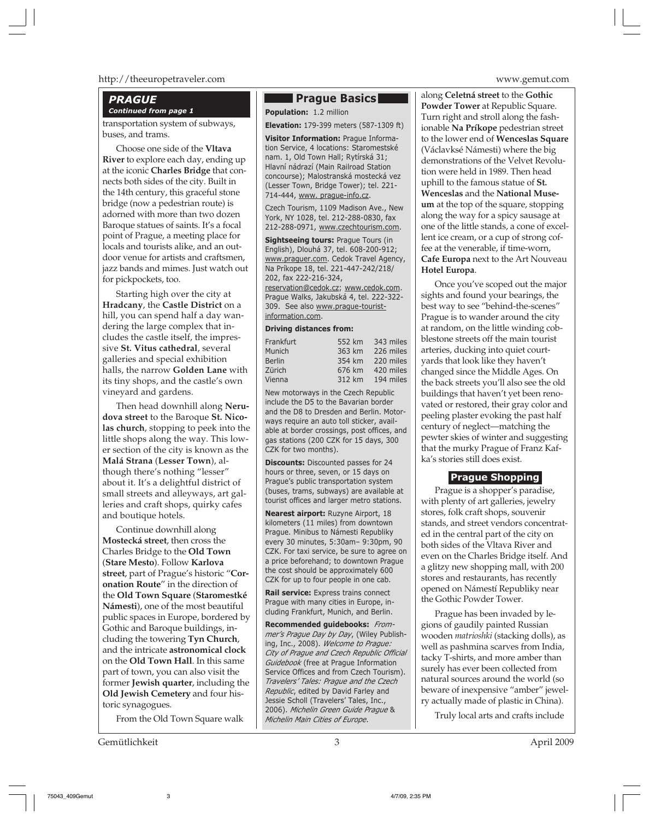#### http://theeuropetraveler.com www.gemut.com

#### *PRAGUE Continued from page 1*

transportation system of subways, buses, and trams.

Choose one side of the **Vltava River** to explore each day, ending up at the iconic **Charles Bridge** that connects both sides of the city. Built in the 14th century, this graceful stone bridge (now a pedestrian route) is adorned with more than two dozen Baroque statues of saints. It's a focal point of Prague, a meeting place for locals and tourists alike, and an outdoor venue for artists and craftsmen, jazz bands and mimes. Just watch out for pickpockets, too.

Starting high over the city at **Hradcany**, the **Castle District** on a hill, you can spend half a day wandering the large complex that includes the castle itself, the impressive **St. Vitus cathedral**, several galleries and special exhibition halls, the narrow **Golden Lane** with its tiny shops, and the castle's own vineyard and gardens.

Then head downhill along **Nerudova street** to the Baroque **St. Nicolas church**, stopping to peek into the little shops along the way. This lower section of the city is known as the **Malá Strana** (**Lesser Town**), although there's nothing "lesser" about it. It's a delightful district of small streets and alleyways, art galleries and craft shops, quirky cafes and boutique hotels.

Continue downhill along **Mostecká street**, then cross the Charles Bridge to the **Old Town** (**Stare Mesto**). Follow **Karlova street**, part of Prague's historic "**Coronation Route**" in the direction of the **Old Town Square** (**Staromestké Námesti**), one of the most beautiful public spaces in Europe, bordered by Gothic and Baroque buildings, including the towering **Tyn Church**, and the intricate **astronomical clock** on the **Old Town Hall**. In this same part of town, you can also visit the former **Jewish quarter**, including the **Old Jewish Cemetery** and four historic synagogues.

From the Old Town Square walk

Gemütlichkeit 3 April 2009

#### **Prague Basics**

**Population:** 1.2 million

**Elevation:** 179-399 meters (587-1309 ft)

**Visitor Information:** Prague Information Service, 4 locations: Staromestské nam. 1, Old Town Hall; Rytírská 31; Hlavní nádrazí (Main Railroad Station concourse); Malostranská mostecká vez (Lesser Town, Bridge Tower); tel. 221- 714-444, www. prague-info.cz.

Czech Tourism, 1109 Madison Ave., New York, NY 1028, tel. 212-288-0830, fax 212-288-0971, www.czechtourism.com.

**Sightseeing tours:** Prague Tours (in English), Dlouhá 37, tel. 608-200-912; www.praguer.com. Cedok Travel Agency, Na Príkope 18, tel. 221-447-242/218/ 202, fax 222-216-324,

reservation@cedok.cz; www.cedok.com. Prague Walks, Jakubská 4, tel. 222-322- 309. See also www.prague-touristinformation.com.

#### **Driving distances from:**

| Frankfurt     | 552 km | 343 miles |
|---------------|--------|-----------|
| Munich        | 363 km | 226 miles |
| <b>Berlin</b> | 354 km | 220 miles |
| Zürich        | 676 km | 420 miles |
| Vienna        | 312 km | 194 miles |

New motorways in the Czech Republic include the D5 to the Bavarian border and the D8 to Dresden and Berlin. Motorways require an auto toll sticker, available at border crossings, post offices, and gas stations (200 CZK for 15 days, 300 CZK for two months).

**Discounts:** Discounted passes for 24 hours or three, seven, or 15 days on Prague's public transportation system (buses, trams, subways) are available at tourist offices and larger metro stations.

**Nearest airport:** Ruzyne Airport, 18 kilometers (11 miles) from downtown Prague. Minibus to Námesti Republiky every 30 minutes, 5:30am– 9:30pm, 90 CZK. For taxi service, be sure to agree on a price beforehand; to downtown Prague the cost should be approximately 600 CZK for up to four people in one cab.

**Rail service:** Express trains connect Prague with many cities in Europe, including Frankfurt, Munich, and Berlin.

**Recommended guidebooks:** *Frommer's Prague Day by Day*, (Wiley Publishing, Inc., 2008). *Welcome to Prague: City of Prague and Czech Republic Official Guidebook* (free at Prague Information Service Offices and from Czech Tourism). *Travelers' Tales: Prague and the Czech Republic*, edited by David Farley and Jessie Scholl (Travelers' Tales, Inc., 2006). *Michelin Green Guide Prague* & *Michelin Main Cities of Europe*.

along **Celetná street** to the **Gothic Powder Tower** at Republic Square. Turn right and stroll along the fashionable **Na Príkope** pedestrian street to the lower end of **Wenceslas Square** (Václavksé Námesti) where the big demonstrations of the Velvet Revolution were held in 1989. Then head uphill to the famous statue of **St. Wenceslas** and the **National Museum** at the top of the square, stopping along the way for a spicy sausage at one of the little stands, a cone of excellent ice cream, or a cup of strong coffee at the venerable, if time-worn, **Cafe Europa** next to the Art Nouveau **Hotel Europa**.

Once you've scoped out the major sights and found your bearings, the best way to see "behind-the-scenes" Prague is to wander around the city at random, on the little winding cobblestone streets off the main tourist arteries, ducking into quiet courtyards that look like they haven't changed since the Middle Ages. On the back streets you'll also see the old buildings that haven't yet been renovated or restored, their gray color and peeling plaster evoking the past half century of neglect—matching the pewter skies of winter and suggesting that the murky Prague of Franz Kafka's stories still does exist.

#### **Prague Shopping**

Prague is a shopper's paradise, with plenty of art galleries, jewelry stores, folk craft shops, souvenir stands, and street vendors concentrated in the central part of the city on both sides of the Vltava River and even on the Charles Bridge itself. And a glitzy new shopping mall, with 200 stores and restaurants, has recently opened on Námestí Republiky near the Gothic Powder Tower.

Prague has been invaded by legions of gaudily painted Russian wooden *matrioshki* (stacking dolls), as well as pashmina scarves from India, tacky T-shirts, and more amber than surely has ever been collected from natural sources around the world (so beware of inexpensive "amber" jewelry actually made of plastic in China).

Truly local arts and crafts include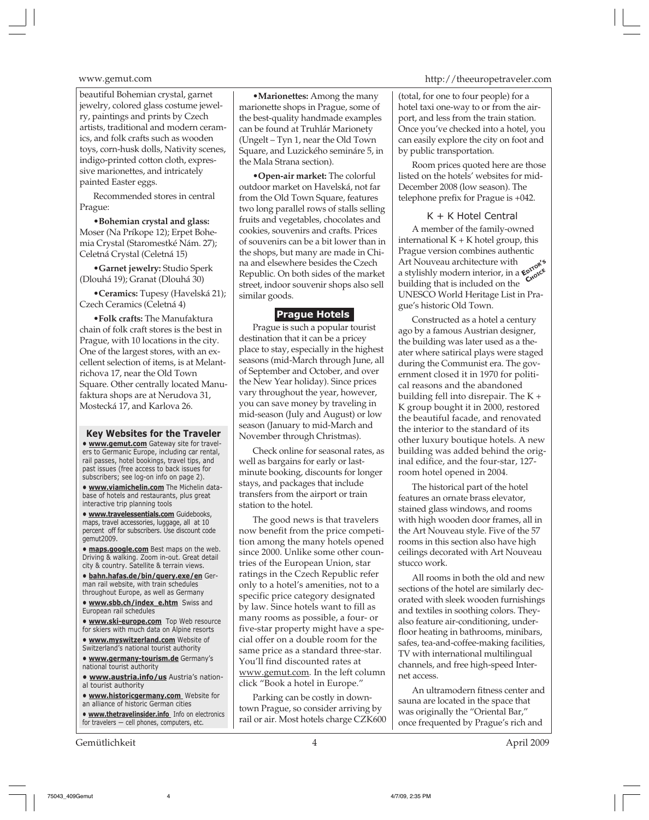beautiful Bohemian crystal, garnet jewelry, colored glass costume jewelry, paintings and prints by Czech artists, traditional and modern ceramics, and folk crafts such as wooden toys, corn-husk dolls, Nativity scenes, indigo-printed cotton cloth, expressive marionettes, and intricately painted Easter eggs.

Recommended stores in central Prague:

**•Bohemian crystal and glass:** Moser (Na Príkope 12); Erpet Bohemia Crystal (Staromestké Nám. 27); Celetná Crystal (Celetná 15)

**•Garnet jewelry:** Studio Sperk (Dlouhá 19); Granat (Dlouhá 30)

**•Ceramics:** Tupesy (Havelská 21); Czech Ceramics (Celetná 4)

**•Folk crafts:** The Manufaktura chain of folk craft stores is the best in Prague, with 10 locations in the city. One of the largest stores, with an excellent selection of items, is at Melantrichova 17, near the Old Town Square. Other centrally located Manufaktura shops are at Nerudova 31, Mostecká 17, and Karlova 26.

**Key Websites for the Traveler • www.gemut.com** Gateway site for travelers to Germanic Europe, including car rental, rail passes, hotel bookings, travel tips, and past issues (free access to back issues for subscribers; see log-on info on page 2).

**• www.viamichelin.com** The Michelin database of hotels and restaurants, plus great interactive trip planning tools

**• www.travelessentials.com** Guidebooks, maps, travel accessories, luggage, all at 10 percent off for subscribers. Use discount code gemut2009.

**• maps.google.com** Best maps on the web. Driving & walking. Zoom in-out. Great detail city & country. Satellite & terrain views.

**• bahn.hafas.de/bin/query.exe/en** German rail website, with train schedules throughout Europe, as well as Germany

**• www.sbb.ch/index\_e.htm** Swiss and European rail schedules

**• www.ski-europe.com** Top Web resource for skiers with much data on Alpine resorts

**• www.myswitzerland.com** Website of Switzerland's national tourist authority

**• www.germany-tourism.de** Germany's national tourist authority

**• www.austria.info/us** Austria's national tourist authority

**• www.historicgermany.com** Website for an alliance of historic German cities

**• www.thetravelinsider.info** Info on electronics for travelers — cell phones, computers, etc.

Gemütlichkeit 4 April 2009

**•Marionettes:** Among the many marionette shops in Prague, some of the best-quality handmade examples can be found at Truhlár Marionety (Ungelt – Tyn 1, near the Old Town Square, and Luzického semináre 5, in the Mala Strana section).

**•Open-air market:** The colorful outdoor market on Havelská, not far from the Old Town Square, features two long parallel rows of stalls selling fruits and vegetables, chocolates and cookies, souvenirs and crafts. Prices of souvenirs can be a bit lower than in the shops, but many are made in China and elsewhere besides the Czech Republic. On both sides of the market street, indoor souvenir shops also sell similar goods.

### **Prague Hotels**

Prague is such a popular tourist destination that it can be a pricey place to stay, especially in the highest seasons (mid-March through June, all of September and October, and over the New Year holiday). Since prices vary throughout the year, however, you can save money by traveling in mid-season (July and August) or low season (January to mid-March and November through Christmas).

Check online for seasonal rates, as well as bargains for early or lastminute booking, discounts for longer stays, and packages that include transfers from the airport or train station to the hotel.

The good news is that travelers now benefit from the price competition among the many hotels opened since 2000. Unlike some other countries of the European Union, star ratings in the Czech Republic refer only to a hotel's amenities, not to a specific price category designated by law. Since hotels want to fill as many rooms as possible, a four- or five-star property might have a special offer on a double room for the same price as a standard three-star. You'll find discounted rates at www.gemut.com*.* In the left column click "Book a hotel in Europe."

Parking can be costly in downtown Prague, so consider arriving by rail or air. Most hotels charge CZK600

#### www.gemut.com http://theeuropetraveler.com

(total, for one to four people) for a hotel taxi one-way to or from the airport, and less from the train station. Once you've checked into a hotel, you can easily explore the city on foot and by public transportation.

Room prices quoted here are those listed on the hotels' websites for mid-December 2008 (low season). The telephone prefix for Prague is +042.

#### K + K Hotel Central

A member of the family-owned international  $K + K$  hotel group, this Prague version combines authentic Art Nouveau architecture with Art Nouveau architecture with<br>a stylishly modern interior, in a  $\mathbf{e}^{\alpha \mathbf{e} \cdot \mathbf{e} \cdot \mathbf{e} \cdot \mathbf{e} \cdot \mathbf{e} \cdot \mathbf{e} \cdot \mathbf{e} \cdot \mathbf{e} \cdot \mathbf{e} \cdot \mathbf{e} \cdot \mathbf{e} \cdot \mathbf{e} \cdot \mathbf{e} \cdot \mathbf{e} \cdot \mathbf{e} \cdot \mathbf{e} \cdot \mathbf{e} \cdot \mathbf{e} \cdot \mathbf{$ building that is included on the UNESCO World Heritage List in Prague's historic Old Town.

Constructed as a hotel a century ago by a famous Austrian designer, the building was later used as a theater where satirical plays were staged during the Communist era. The government closed it in 1970 for political reasons and the abandoned building fell into disrepair. The K + K group bought it in 2000, restored the beautiful facade, and renovated the interior to the standard of its other luxury boutique hotels. A new building was added behind the original edifice, and the four-star, 127 room hotel opened in 2004.

The historical part of the hotel features an ornate brass elevator, stained glass windows, and rooms with high wooden door frames, all in the Art Nouveau style. Five of the 57 rooms in this section also have high ceilings decorated with Art Nouveau stucco work.

All rooms in both the old and new sections of the hotel are similarly decorated with sleek wooden furnishings and textiles in soothing colors. Theyalso feature air-conditioning, underfloor heating in bathrooms, minibars, safes, tea-and-coffee-making facilities, TV with international multilingual channels, and free high-speed Internet access.

An ultramodern fitness center and sauna are located in the space that was originally the "Oriental Bar," once frequented by Prague's rich and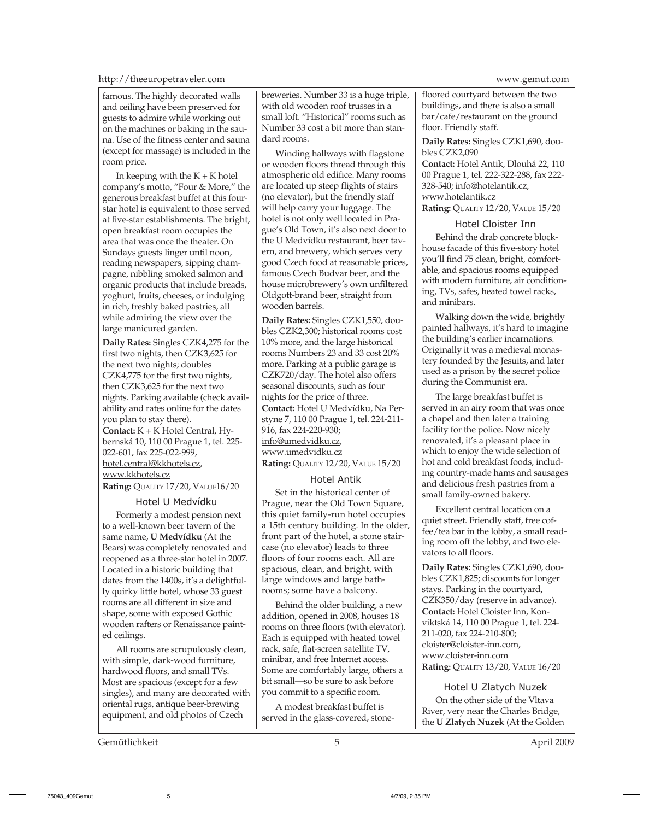http://theeuropetraveler.com www.gemut.com

famous. The highly decorated walls and ceiling have been preserved for guests to admire while working out on the machines or baking in the sauna. Use of the fitness center and sauna (except for massage) is included in the room price.

In keeping with the  $K + K$  hotel company's motto, "Four & More," the generous breakfast buffet at this fourstar hotel is equivalent to those served at five-star establishments. The bright, open breakfast room occupies the area that was once the theater. On Sundays guests linger until noon, reading newspapers, sipping champagne, nibbling smoked salmon and organic products that include breads, yoghurt, fruits, cheeses, or indulging in rich, freshly baked pastries, all while admiring the view over the large manicured garden.

**Daily Rates:** Singles CZK4,275 for the first two nights, then CZK3,625 for the next two nights; doubles CZK4,775 for the first two nights, then CZK3,625 for the next two nights. Parking available (check availability and rates online for the dates you plan to stay there). **Contact:** K + K Hotel Central, Hybernská 10, 110 00 Prague 1, tel. 225- 022-601, fax 225-022-999, hotel.central@kkhotels.cz, www.kkhotels.cz **Rating:** QUALITY 17/20, VALUE16/20

#### Hotel U Medvídku

Formerly a modest pension next to a well-known beer tavern of the same name, **U Medvídku** (At the Bears) was completely renovated and reopened as a three-star hotel in 2007. Located in a historic building that dates from the 1400s, it's a delightfully quirky little hotel, whose 33 guest rooms are all different in size and shape, some with exposed Gothic wooden rafters or Renaissance painted ceilings.

All rooms are scrupulously clean, with simple, dark-wood furniture, hardwood floors, and small TVs. Most are spacious (except for a few singles), and many are decorated with oriental rugs, antique beer-brewing equipment, and old photos of Czech

breweries. Number 33 is a huge triple, with old wooden roof trusses in a small loft. "Historical" rooms such as Number 33 cost a bit more than standard rooms.

Winding hallways with flagstone or wooden floors thread through this atmospheric old edifice. Many rooms are located up steep flights of stairs (no elevator), but the friendly staff will help carry your luggage. The hotel is not only well located in Prague's Old Town, it's also next door to the U Medvídku restaurant, beer tavern, and brewery, which serves very good Czech food at reasonable prices, famous Czech Budvar beer, and the house microbrewery's own unfiltered Oldgott-brand beer, straight from wooden barrels.

**Daily Rates:** Singles CZK1,550, doubles CZK2,300; historical rooms cost 10% more, and the large historical rooms Numbers 23 and 33 cost 20% more. Parking at a public garage is CZK720/day. The hotel also offers seasonal discounts, such as four nights for the price of three. **Contact:** Hotel U Medvídku, Na Perstyne 7, 110 00 Prague 1, tel. 224-211- 916, fax 224-220-930; info@umedvidku.cz, www.umedvidku.cz **Rating:** QUALITY 12/20, VALUE 15/20

#### Hotel Antik

Set in the historical center of Prague, near the Old Town Square, this quiet family-run hotel occupies a 15th century building. In the older, front part of the hotel, a stone staircase (no elevator) leads to three floors of four rooms each. All are spacious, clean, and bright, with large windows and large bathrooms; some have a balcony.

Behind the older building, a new addition, opened in 2008, houses 18 rooms on three floors (with elevator). Each is equipped with heated towel rack, safe, flat-screen satellite TV, minibar, and free Internet access. Some are comfortably large, others a bit small—so be sure to ask before you commit to a specific room.

A modest breakfast buffet is served in the glass-covered, stonefloored courtyard between the two buildings, and there is also a small bar/cafe/restaurant on the ground floor. Friendly staff.

**Daily Rates:** Singles CZK1,690, doubles CZK2,090

**Contact:** Hotel Antik, Dlouhá 22, 110 00 Prague 1, tel. 222-322-288, fax 222- 328-540; info@hotelantik.cz, www.hotelantik.cz **Rating:** QUALITY 12/20, VALUE 15/20

### Hotel Cloister Inn

Behind the drab concrete blockhouse facade of this five-story hotel you'll find 75 clean, bright, comfortable, and spacious rooms equipped with modern furniture, air conditioning, TVs, safes, heated towel racks, and minibars.

Walking down the wide, brightly painted hallways, it's hard to imagine the building's earlier incarnations. Originally it was a medieval monastery founded by the Jesuits, and later used as a prison by the secret police during the Communist era.

The large breakfast buffet is served in an airy room that was once a chapel and then later a training facility for the police. Now nicely renovated, it's a pleasant place in which to enjoy the wide selection of hot and cold breakfast foods, including country-made hams and sausages and delicious fresh pastries from a small family-owned bakery.

Excellent central location on a quiet street. Friendly staff, free coffee/tea bar in the lobby, a small reading room off the lobby, and two elevators to all floors.

**Daily Rates:** Singles CZK1,690, doubles CZK1,825; discounts for longer stays. Parking in the courtyard, CZK350/day (reserve in advance). **Contact:** Hotel Cloister Inn, Konviktská 14, 110 00 Prague 1, tel. 224- 211-020, fax 224-210-800; cloister@cloister-inn.com, www.cloister-inn.com **Rating:** QUALITY 13/20, VALUE 16/20

#### Hotel U Zlatych Nuzek

On the other side of the Vltava River, very near the Charles Bridge, the **U Zlatych Nuzek** (At the Golden

Gemütlichkeit 5 April 2009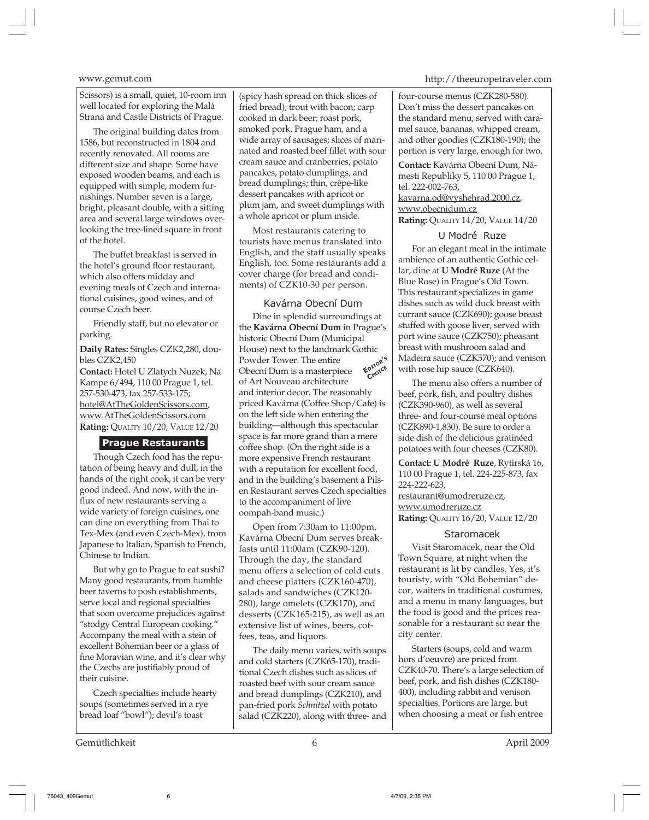Scissors) is a small, quiet, 10-room inn well located for exploring the Malá Strana and Castle Districts of Prague.

The original building dates from 1586, but reconstructed in 1804 and recently renovated. All rooms are different size and shape. Some have exposed wooden beams, and each is equipped with simple, modern furnishings. Number seven is a large, bright, pleasant double, with a sitting area and several large windows overlooking the tree-lined square in front of the hotel.

The buffet breakfast is served in the hotel's ground floor restaurant, which also offers midday and evening meals of Czech and international cuisines, good wines, and of course Czech beer.

Friendly staff, but no elevator or parking.

**Daily Rates:** Singles CZK2,280, doubles CZK2,450

**Contact:** Hotel U Zlatych Nuzek, Na Kampe 6/494, 110 00 Prague 1, tel. 257-530-473, fax 257-533-175; hotel@AtTheGoldenScissors.com, www.AtTheGoldenScissors.com **Rating:** QUALITY 10/20, VALUE 12/20

#### **Prague Restaurants**

Though Czech food has the reputation of being heavy and dull, in the hands of the right cook, it can be very good indeed. And now, with the influx of new restaurants serving a wide variety of foreign cuisines, one can dine on everything from Thai to Tex-Mex (and even Czech-Mex), from Japanese to Italian, Spanish to French, Chinese to Indian.

But why go to Prague to eat sushi? Many good restaurants, from humble beer taverns to posh establishments, serve local and regional specialties that soon overcome prejudices against "stodgy Central European cooking." Accompany the meal with a stein of excellent Bohemian beer or a glass of fine Moravian wine, and it's clear why the Czechs are justifiably proud of their cuisine.

Czech specialties include hearty soups (sometimes served in a rye bread loaf "bowl"); devil's toast

Gemütlichkeit 6 April 2009

(spicy hash spread on thick slices of fried bread); trout with bacon; carp cooked in dark beer; roast pork, smoked pork, Prague ham, and a wide array of sausages; slices of marinated and roasted beef fillet with sour cream sauce and cranberries; potato pancakes, potato dumplings, and bread dumplings; thin, crêpe-like dessert pancakes with apricot or plum jam, and sweet dumplings with a whole apricot or plum inside.

Most restaurants catering to tourists have menus translated into English, and the staff usually speaks English, too. Some restaurants add a cover charge (for bread and condiments) of CZK10-30 per person.

#### Kavárna Obecní Dum

Dine in splendid surroundings at the **Kavárna Obecní Dum** in Prague's historic Obecní Dum (Municipal House) next to the landmark Gothic Powder Tower. The entire Obecní Dum is a masterpiece of Art Nouveau architecture and interior decor. The reasonably priced Kavárna (Coffee Shop/Cafe) is on the left side when entering the building—although this spectacular space is far more grand than a mere coffee shop. (On the right side is a more expensive French restaurant with a reputation for excellent food, and in the building's basement a Pilsen Restaurant serves Czech specialties to the accompaniment of live oompah-band music.) **EDITOR'<sup>S</sup> CHOICE**

Open from 7:30am to 11:00pm, Kavárna Obecní Dum serves breakfasts until 11:00am (CZK90-120). Through the day, the standard menu offers a selection of cold cuts and cheese platters (CZK160-470), salads and sandwiches (CZK120- 280), large omelets (CZK170), and desserts (CZK165-215), as well as an extensive list of wines, beers, coffees, teas, and liquors.

The daily menu varies, with soups and cold starters (CZK65-170), traditional Czech dishes such as slices of roasted beef with sour cream sauce and bread dumplings (CZK210), and pan-fried pork *Schnitzel* with potato salad (CZK220), along with three- and

#### www.gemut.com http://theeuropetraveler.com

four-course menus (CZK280-580). Don't miss the dessert pancakes on the standard menu, served with caramel sauce, bananas, whipped cream, and other goodies (CZK180-190); the portion is very large, enough for two.

**Contact:** Kavárna Obecní Dum, Námesti Republiky 5, 110 00 Prague 1, tel. 222-002-763, kavarna.od@vyshehrad.2000.cz,

www.obecnidum.cz

**Rating:** QUALITY 14/20, VALUE 14/20

#### U Modré Ruze

For an elegant meal in the intimate ambience of an authentic Gothic cellar, dine at **U Modré Ruze** (At the Blue Rose) in Prague's Old Town. This restaurant specializes in game dishes such as wild duck breast with currant sauce (CZK690); goose breast stuffed with goose liver, served with port wine sauce (CZK750); pheasant breast with mushroom salad and Madeira sauce (CZK570); and venison with rose hip sauce (CZK640).

The menu also offers a number of beef, pork, fish, and poultry dishes (CZK390-960), as well as several three- and four-course meal options (CZK890-1,830). Be sure to order a side dish of the delicious gratinéed potatoes with four cheeses (CZK80).

**Contact: U Modré Ruze**, Rytírská 16, 110 00 Prague 1, tel. 224-225-873, fax 224-222-623,

restaurant@umodreruze.cz, www.umodreruze.cz **Rating:** QUALITY 16/20, VALUE 12/20

#### Staromacek

Visit Staromacek, near the Old Town Square, at night when the restaurant is lit by candles. Yes, it's touristy, with "Old Bohemian" decor, waiters in traditional costumes, and a menu in many languages, but the food is good and the prices reasonable for a restaurant so near the city center.

Starters (soups, cold and warm hors d'oeuvre) are priced from CZK40-70. There's a large selection of beef, pork, and fish dishes (CZK180- 400), including rabbit and venison specialties. Portions are large, but when choosing a meat or fish entree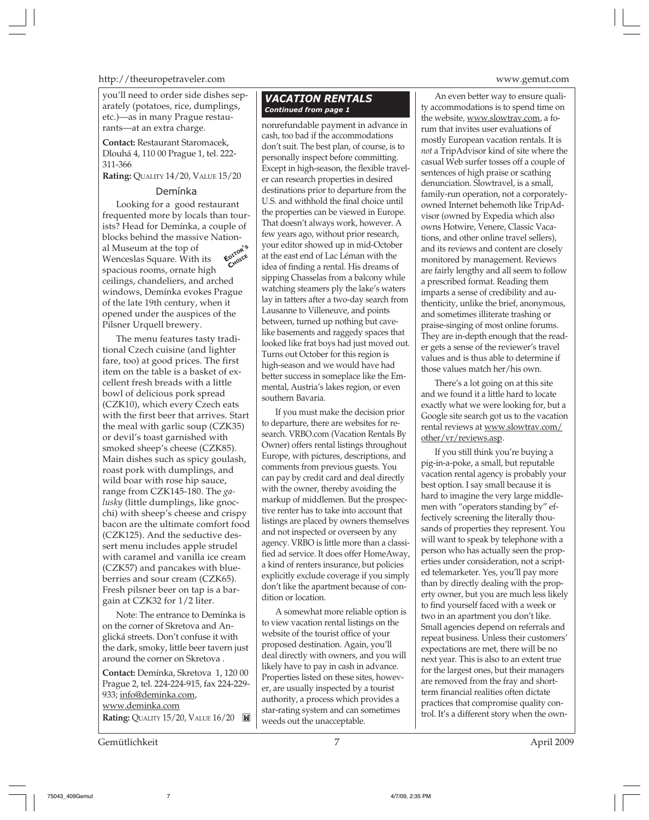http://theeuropetraveler.com www.gemut.com

you'll need to order side dishes separately (potatoes, rice, dumplings, etc.)—as in many Prague restaurants—at an extra charge.

**Contact:** Restaurant Staromacek, Dlouhá 4, 110 00 Prague 1, tel. 222- 311-366

**Rating:** QUALITY 14/20, VALUE 15/20

#### Demínka

Looking for a good restaurant frequented more by locals than tourists? Head for Demínka, a couple of blocks behind the massive National Museum at the top of Wenceslas Square. With its spacious rooms, ornate high ceilings, chandeliers, and arched windows, Demínka evokes Prague of the late 19th century, when it opened under the auspices of the Pilsner Urquell brewery. **EDITOR'<sup>S</sup> CHOICE**

The menu features tasty traditional Czech cuisine (and lighter fare, too) at good prices. The first item on the table is a basket of excellent fresh breads with a little bowl of delicious pork spread (CZK10), which every Czech eats with the first beer that arrives. Start the meal with garlic soup (CZK35) or devil's toast garnished with smoked sheep's cheese (CZK85). Main dishes such as spicy goulash, roast pork with dumplings, and wild boar with rose hip sauce, range from CZK145-180. The *galusky* (little dumplings, like gnocchi) with sheep's cheese and crispy bacon are the ultimate comfort food (CZK125). And the seductive dessert menu includes apple strudel with caramel and vanilla ice cream (CZK57) and pancakes with blueberries and sour cream (CZK65). Fresh pilsner beer on tap is a bargain at CZK32 for 1/2 liter.

Note: The entrance to Demínka is on the corner of Skretova and Anglická streets. Don't confuse it with the dark, smoky, little beer tavern just around the corner on Skretova .

**Contact:** Demínka, Skretova 1, 120 00 Prague 2, tel. 224-224-915, fax 224-229- 933; info@deminka.com, www.deminka.com

**Rating:** QUALITY 15/20, VALUE 16/20

### *VACATION RENTALS Continued from page 1*

nonrefundable payment in advance in cash, too bad if the accommodations don't suit. The best plan, of course, is to personally inspect before committing. Except in high-season, the flexible traveler can research properties in desired destinations prior to departure from the U.S. and withhold the final choice until the properties can be viewed in Europe. That doesn't always work, however. A few years ago, without prior research, your editor showed up in mid-October at the east end of Lac Léman with the idea of finding a rental. His dreams of sipping Chasselas from a balcony while watching steamers ply the lake's waters lay in tatters after a two-day search from Lausanne to Villeneuve, and points between, turned up nothing but cavelike basements and raggedy spaces that looked like frat boys had just moved out. Turns out October for this region is high-season and we would have had better success in someplace like the Emmental, Austria's lakes region, or even southern Bavaria.

If you must make the decision prior to departure, there are websites for research. VRBO.com (Vacation Rentals By Owner) offers rental listings throughout Europe, with pictures, descriptions, and comments from previous guests. You can pay by credit card and deal directly with the owner, thereby avoiding the markup of middlemen. But the prospective renter has to take into account that listings are placed by owners themselves and not inspected or overseen by any agency. VRBO is little more than a classified ad service. It does offer HomeAway, a kind of renters insurance, but policies explicitly exclude coverage if you simply don't like the apartment because of condition or location.

A somewhat more reliable option is to view vacation rental listings on the website of the tourist office of your proposed destination. Again, you'll deal directly with owners, and you will likely have to pay in cash in advance. Properties listed on these sites, however, are usually inspected by a tourist authority, a process which provides a star-rating system and can sometimes weeds out the unacceptable.

An even better way to ensure quality accommodations is to spend time on the website, www.slowtrav.com, a forum that invites user evaluations of mostly European vacation rentals. It is *not* a TripAdvisor kind of site where the casual Web surfer tosses off a couple of sentences of high praise or scathing denunciation. Slowtravel, is a small, family-run operation, not a corporatelyowned Internet behemoth like TripAdvisor (owned by Expedia which also owns Hotwire, Venere, Classic Vacations, and other online travel sellers), and its reviews and content are closely monitored by management. Reviews are fairly lengthy and all seem to follow a prescribed format. Reading them imparts a sense of credibility and authenticity, unlike the brief, anonymous, and sometimes illiterate trashing or praise-singing of most online forums. They are in-depth enough that the reader gets a sense of the reviewer's travel values and is thus able to determine if those values match her/his own.

There's a lot going on at this site and we found it a little hard to locate exactly what we were looking for, but a Google site search got us to the vacation rental reviews at www.slowtrav.com/ other/vr/reviews.asp.

If you still think you're buying a pig-in-a-poke, a small, but reputable vacation rental agency is probably your best option. I say small because it is hard to imagine the very large middlemen with "operators standing by" effectively screening the literally thousands of properties they represent. You will want to speak by telephone with a person who has actually seen the properties under consideration, not a scripted telemarketer. Yes, you'll pay more than by directly dealing with the property owner, but you are much less likely to find yourself faced with a week or two in an apartment you don't like. Small agencies depend on referrals and repeat business. Unless their customers' expectations are met, there will be no next year. This is also to an extent true for the largest ones, but their managers are removed from the fray and shortterm financial realities often dictate practices that compromise quality control. It's a different story when the own-

Gemütlichkeit 7 April 2009